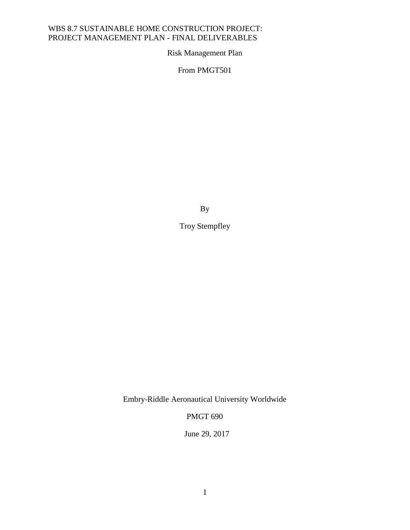Risk Management Plan

From PMGT501

By

Troy Stempfley

Embry-Riddle Aeronautical University Worldwide

PMGT 690

June 29, 2017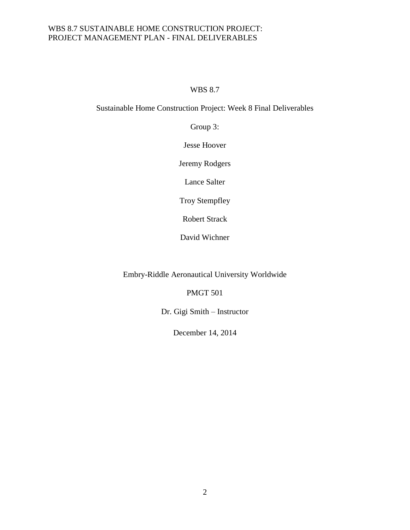# WBS 8.7

# Sustainable Home Construction Project: Week 8 Final Deliverables

Group 3:

Jesse Hoover

Jeremy Rodgers

Lance Salter

Troy Stempfley

Robert Strack

David Wichner

Embry-Riddle Aeronautical University Worldwide

PMGT 501

Dr. Gigi Smith – Instructor

December 14, 2014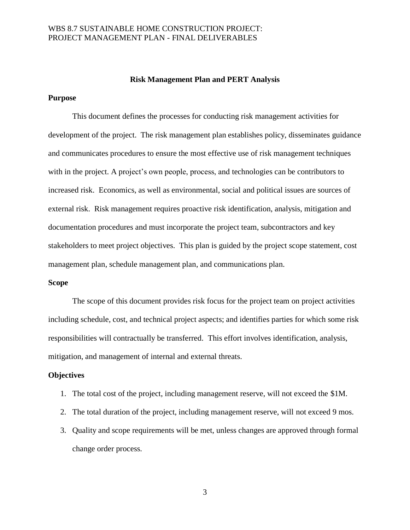#### **Risk Management Plan and PERT Analysis**

### **Purpose**

This document defines the processes for conducting risk management activities for development of the project. The risk management plan establishes policy, disseminates guidance and communicates procedures to ensure the most effective use of risk management techniques with in the project. A project's own people, process, and technologies can be contributors to increased risk. Economics, as well as environmental, social and political issues are sources of external risk. Risk management requires proactive risk identification, analysis, mitigation and documentation procedures and must incorporate the project team, subcontractors and key stakeholders to meet project objectives. This plan is guided by the project scope statement, cost management plan, schedule management plan, and communications plan.

### **Scope**

The scope of this document provides risk focus for the project team on project activities including schedule, cost, and technical project aspects; and identifies parties for which some risk responsibilities will contractually be transferred. This effort involves identification, analysis, mitigation, and management of internal and external threats.

### **Objectives**

- 1. The total cost of the project, including management reserve, will not exceed the \$1M.
- 2. The total duration of the project, including management reserve, will not exceed 9 mos.
- 3. Quality and scope requirements will be met, unless changes are approved through formal change order process.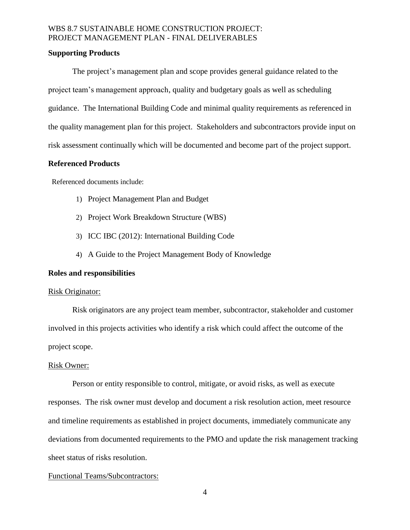### **Supporting Products**

The project's management plan and scope provides general guidance related to the project team's management approach, quality and budgetary goals as well as scheduling guidance. The International Building Code and minimal quality requirements as referenced in the quality management plan for this project. Stakeholders and subcontractors provide input on risk assessment continually which will be documented and become part of the project support.

### **Referenced Products**

Referenced documents include:

- 1) Project Management Plan and Budget
- 2) Project Work Breakdown Structure (WBS)
- 3) ICC IBC (2012): International Building Code
- 4) A Guide to the Project Management Body of Knowledge

## **Roles and responsibilities**

### Risk Originator:

Risk originators are any project team member, subcontractor, stakeholder and customer involved in this projects activities who identify a risk which could affect the outcome of the project scope.

### Risk Owner:

Person or entity responsible to control, mitigate, or avoid risks, as well as execute responses. The risk owner must develop and document a risk resolution action, meet resource and timeline requirements as established in project documents, immediately communicate any deviations from documented requirements to the PMO and update the risk management tracking sheet status of risks resolution.

## Functional Teams/Subcontractors: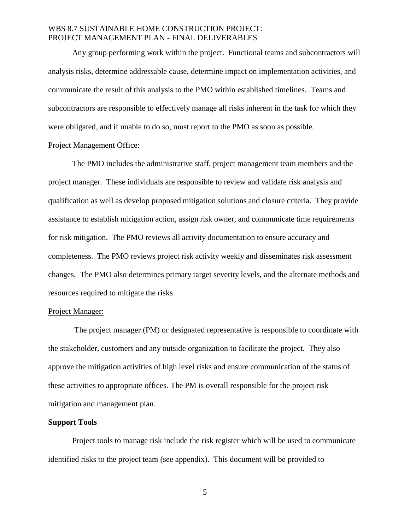Any group performing work within the project. Functional teams and subcontractors will analysis risks, determine addressable cause, determine impact on implementation activities, and communicate the result of this analysis to the PMO within established timelines. Teams and subcontractors are responsible to effectively manage all risks inherent in the task for which they were obligated, and if unable to do so, must report to the PMO as soon as possible.

#### Project Management Office:

The PMO includes the administrative staff, project management team members and the project manager. These individuals are responsible to review and validate risk analysis and qualification as well as develop proposed mitigation solutions and closure criteria. They provide assistance to establish mitigation action, assign risk owner, and communicate time requirements for risk mitigation. The PMO reviews all activity documentation to ensure accuracy and completeness. The PMO reviews project risk activity weekly and disseminates risk assessment changes. The PMO also determines primary target severity levels, and the alternate methods and resources required to mitigate the risks

#### Project Manager:

The project manager (PM) or designated representative is responsible to coordinate with the stakeholder, customers and any outside organization to facilitate the project. They also approve the mitigation activities of high level risks and ensure communication of the status of these activities to appropriate offices. The PM is overall responsible for the project risk mitigation and management plan.

#### **Support Tools**

Project tools to manage risk include the risk register which will be used to communicate identified risks to the project team (see appendix). This document will be provided to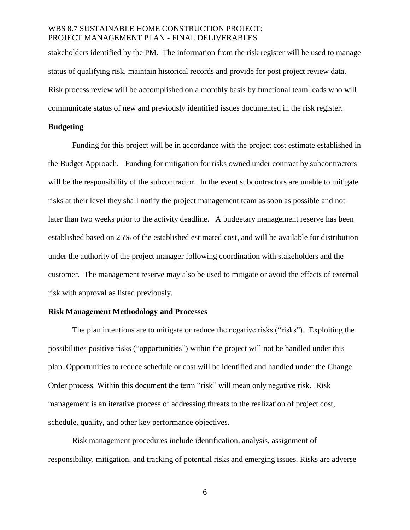stakeholders identified by the PM. The information from the risk register will be used to manage status of qualifying risk, maintain historical records and provide for post project review data. Risk process review will be accomplished on a monthly basis by functional team leads who will communicate status of new and previously identified issues documented in the risk register.

### **Budgeting**

Funding for this project will be in accordance with the project cost estimate established in the Budget Approach. Funding for mitigation for risks owned under contract by subcontractors will be the responsibility of the subcontractor. In the event subcontractors are unable to mitigate risks at their level they shall notify the project management team as soon as possible and not later than two weeks prior to the activity deadline. A budgetary management reserve has been established based on 25% of the established estimated cost, and will be available for distribution under the authority of the project manager following coordination with stakeholders and the customer. The management reserve may also be used to mitigate or avoid the effects of external risk with approval as listed previously.

#### **Risk Management Methodology and Processes**

The plan intentions are to mitigate or reduce the negative risks ("risks"). Exploiting the possibilities positive risks ("opportunities") within the project will not be handled under this plan. Opportunities to reduce schedule or cost will be identified and handled under the Change Order process. Within this document the term "risk" will mean only negative risk. Risk management is an iterative process of addressing threats to the realization of project cost, schedule, quality, and other key performance objectives.

Risk management procedures include identification, analysis, assignment of responsibility, mitigation, and tracking of potential risks and emerging issues. Risks are adverse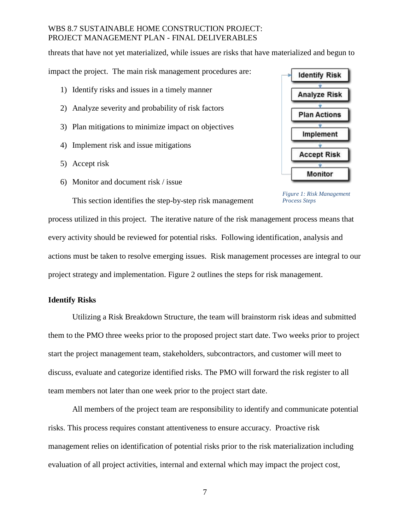threats that have not yet materialized, while issues are risks that have materialized and begun to

impact the project. The main risk management procedures are:

- 1) Identify risks and issues in a timely manner
- 2) Analyze severity and probability of risk factors
- 3) Plan mitigations to minimize impact on objectives
- 4) Implement risk and issue mitigations
- 5) Accept risk
- 6) Monitor and document risk / issue



<span id="page-6-0"></span>*Figure 1: Risk Management Process Steps*

This section identifies the step-by-step risk management

process utilized in this project. The iterative nature of the risk management process means that every activity should be reviewed for potential risks. Following identification, analysis and actions must be taken to resolve emerging issues. Risk management processes are integral to our project strategy and implementation. [Figure 2](#page-6-0) outlines the steps for risk management.

### **Identify Risks**

Utilizing a Risk Breakdown Structure, the team will brainstorm risk ideas and submitted them to the PMO three weeks prior to the proposed project start date. Two weeks prior to project start the project management team, stakeholders, subcontractors, and customer will meet to discuss, evaluate and categorize identified risks. The PMO will forward the risk register to all team members not later than one week prior to the project start date.

All members of the project team are responsibility to identify and communicate potential risks. This process requires constant attentiveness to ensure accuracy. Proactive risk management relies on identification of potential risks prior to the risk materialization including evaluation of all project activities, internal and external which may impact the project cost,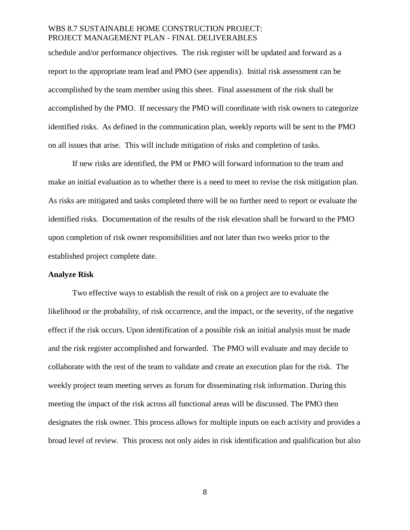schedule and/or performance objectives. The risk register will be updated and forward as a report to the appropriate team lead and PMO (see appendix). Initial risk assessment can be accomplished by the team member using this sheet. Final assessment of the risk shall be accomplished by the PMO. If necessary the PMO will coordinate with risk owners to categorize identified risks. As defined in the communication plan, weekly reports will be sent to the PMO on all issues that arise. This will include mitigation of risks and completion of tasks.

If new risks are identified, the PM or PMO will forward information to the team and make an initial evaluation as to whether there is a need to meet to revise the risk mitigation plan. As risks are mitigated and tasks completed there will be no further need to report or evaluate the identified risks. Documentation of the results of the risk elevation shall be forward to the PMO upon completion of risk owner responsibilities and not later than two weeks prior to the established project complete date.

### **Analyze Risk**

Two effective ways to establish the result of risk on a project are to evaluate the likelihood or the probability, of risk occurrence, and the impact, or the severity, of the negative effect if the risk occurs. Upon identification of a possible risk an initial analysis must be made and the risk register accomplished and forwarded. The PMO will evaluate and may decide to collaborate with the rest of the team to validate and create an execution plan for the risk. The weekly project team meeting serves as forum for disseminating risk information. During this meeting the impact of the risk across all functional areas will be discussed. The PMO then designates the risk owner. This process allows for multiple inputs on each activity and provides a broad level of review. This process not only aides in risk identification and qualification but also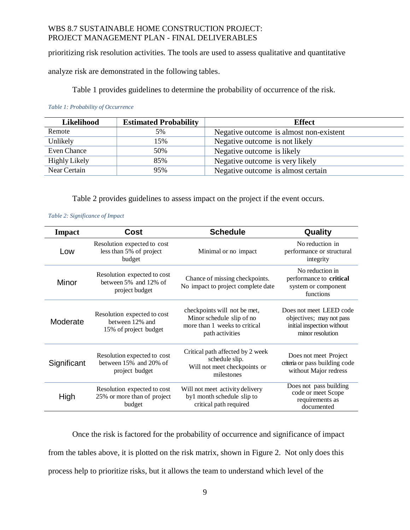prioritizing risk resolution activities. The tools are used to assess qualitative and quantitative

analyze risk are demonstrated in the following tables.

[Table 1](#page-8-0) provides guidelines to determine the probability of occurrence of the risk.

<span id="page-8-0"></span>*Table 1: Probability of Occurrence*

| Likelihood           | <b>Estimated Probability</b> | <b>Effect</b>                           |
|----------------------|------------------------------|-----------------------------------------|
| Remote               | 5%                           | Negative outcome is almost non-existent |
| Unlikely             | 15%                          | Negative outcome is not likely          |
| Even Chance          | 50%                          | Negative outcome is likely              |
| <b>Highly Likely</b> | 85%                          | Negative outcome is very likely         |
| Near Certain         | 95%                          | Negative outcome is almost certain      |

[Table 2](#page-8-1) provides guidelines to assess impact on the project if the event occurs.

#### <span id="page-8-1"></span>*Table 2: Significance of Impact*

| <b>Impact</b> | <b>Cost</b>                                                                   | <b>Schedule</b>                                                                                               | Quality                                                                                               |
|---------------|-------------------------------------------------------------------------------|---------------------------------------------------------------------------------------------------------------|-------------------------------------------------------------------------------------------------------|
| Low           | Resolution expected to cost<br>less than 5% of project<br>budget              | Minimal or no impact                                                                                          | No reduction in<br>performance or structural<br>integrity                                             |
| Minor         | Resolution expected to cost<br>between 5% and 12% of<br>project budget        | Chance of missing checkpoints.<br>No impact to project complete date                                          | No reduction in<br>performance to critical<br>system or component<br>functions                        |
| Moderate      | Resolution expected to cost<br>between 12% and<br>15% of project budget       | checkpoints will not be met,<br>Minor schedule slip of no<br>more than 1 weeks to critical<br>path activities | Does not meet LEED code<br>objectives; may not pass<br>initial inspection without<br>minor resolution |
| Significant   | Resolution expected to cost<br>between $15\%$ and $20\%$ of<br>project budget | Critical path affected by 2 week<br>schedule slip.<br>Will not meet checkpoints or<br>milestones              | Does not meet Project<br>criteria or pass building code<br>without Major redress                      |
| High          | Resolution expected to cost<br>25% or more than of project<br>budget          | Will not meet activity delivery<br>by1 month schedule slip to<br>critical path required                       | Does not pass building<br>code or meet Scope<br>requirements as<br>documented                         |

Once the risk is factored for the probability of occurrence and significance of impact from the tables above, it is plotted on the risk matrix, shown in [Figure 2.](#page-9-0) Not only does this process help to prioritize risks, but it allows the team to understand which level of the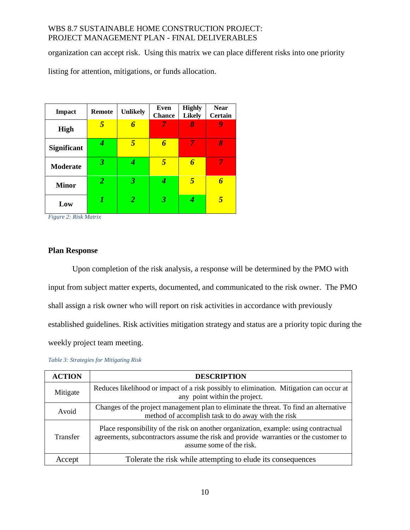organization can accept risk. Using this matrix we can place different risks into one priority

listing for attention, mitigations, or funds allocation.

| <b>Impact</b>      | <b>Remote</b>  | <b>Unlikely</b> | Even<br><b>Chance</b> | <b>Highly</b><br><b>Likely</b> | <b>Near</b><br><b>Certain</b> |
|--------------------|----------------|-----------------|-----------------------|--------------------------------|-------------------------------|
| <b>High</b>        | 5              | 6               | 7                     | 8                              |                               |
| <b>Significant</b> | 4              | 5               | 6                     | 7                              | 8                             |
| <b>Moderate</b>    | 3              | 4               | $\overline{5}$        | 6                              | 7                             |
| <b>Minor</b>       | $\overline{2}$ | 3               | 4                     | 5                              | 6                             |
| Low                | 1              | 2               | 3                     |                                | 5                             |

<span id="page-9-0"></span>*Figure 2: Risk Matrix*

## **Plan Response**

Upon completion of the risk analysis, a response will be determined by the PMO with input from subject matter experts, documented, and communicated to the risk owner. The PMO shall assign a risk owner who will report on risk activities in accordance with previously established guidelines. Risk activities mitigation strategy and status are a priority topic during the weekly project team meeting.

| <b>ACTION</b>   | <b>DESCRIPTION</b>                                                                                                                                                                                       |
|-----------------|----------------------------------------------------------------------------------------------------------------------------------------------------------------------------------------------------------|
| Mitigate        | Reduces likelihood or impact of a risk possibly to elimination. Mitigation can occur at<br>any point within the project.                                                                                 |
| Avoid           | Changes of the project management plan to eliminate the threat. To find an alternative<br>method of accomplish task to do away with the risk                                                             |
| <b>Transfer</b> | Place responsibility of the risk on another organization, example: using contractual<br>agreements, subcontractors assume the risk and provide warranties or the customer to<br>assume some of the risk. |
| Accept          | Tolerate the risk while attempting to elude its consequences                                                                                                                                             |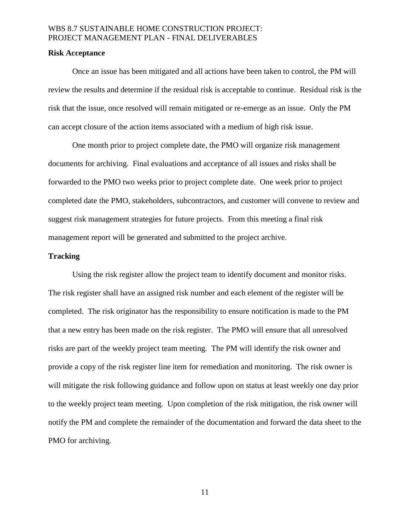#### **Risk Acceptance**

Once an issue has been mitigated and all actions have been taken to control, the PM will review the results and determine if the residual risk is acceptable to continue. Residual risk is the risk that the issue, once resolved will remain mitigated or re-emerge as an issue. Only the PM can accept closure of the action items associated with a medium of high risk issue.

One month prior to project complete date, the PMO will organize risk management documents for archiving. Final evaluations and acceptance of all issues and risks shall be forwarded to the PMO two weeks prior to project complete date. One week prior to project completed date the PMO, stakeholders, subcontractors, and customer will convene to review and suggest risk management strategies for future projects. From this meeting a final risk management report will be generated and submitted to the project archive.

### **Tracking**

Using the risk register allow the project team to identify document and monitor risks. The risk register shall have an assigned risk number and each element of the register will be completed. The risk originator has the responsibility to ensure notification is made to the PM that a new entry has been made on the risk register. The PMO will ensure that all unresolved risks are part of the weekly project team meeting. The PM will identify the risk owner and provide a copy of the risk register line item for remediation and monitoring. The risk owner is will mitigate the risk following guidance and follow upon on status at least weekly one day prior to the weekly project team meeting. Upon completion of the risk mitigation, the risk owner will notify the PM and complete the remainder of the documentation and forward the data sheet to the PMO for archiving.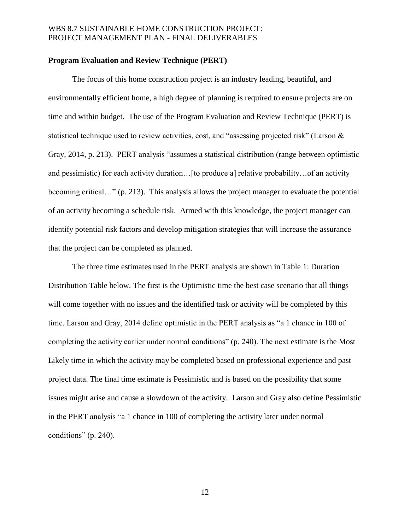### **Program Evaluation and Review Technique (PERT)**

The focus of this home construction project is an industry leading, beautiful, and environmentally efficient home, a high degree of planning is required to ensure projects are on time and within budget. The use of the Program Evaluation and Review Technique (PERT) is statistical technique used to review activities, cost, and "assessing projected risk" (Larson & Gray, 2014, p. 213). PERT analysis "assumes a statistical distribution (range between optimistic and pessimistic) for each activity duration...[to produce a] relative probability...of an activity becoming critical…" (p. 213). This analysis allows the project manager to evaluate the potential of an activity becoming a schedule risk. Armed with this knowledge, the project manager can identify potential risk factors and develop mitigation strategies that will increase the assurance that the project can be completed as planned.

The three time estimates used in the PERT analysis are shown in Table 1: Duration Distribution Table below. The first is the Optimistic time the best case scenario that all things will come together with no issues and the identified task or activity will be completed by this time. Larson and Gray, 2014 define optimistic in the PERT analysis as "a 1 chance in 100 of completing the activity earlier under normal conditions" (p. 240). The next estimate is the Most Likely time in which the activity may be completed based on professional experience and past project data. The final time estimate is Pessimistic and is based on the possibility that some issues might arise and cause a slowdown of the activity. Larson and Gray also define Pessimistic in the PERT analysis "a 1 chance in 100 of completing the activity later under normal conditions" (p. 240).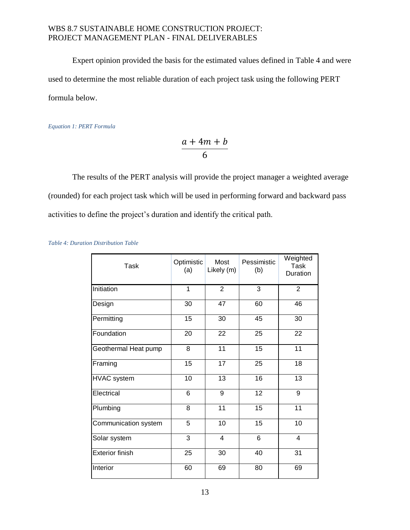Expert opinion provided the basis for the estimated values defined in [Table 4](#page-12-0) and were used to determine the most reliable duration of each project task using the following PERT formula below.

*Equation 1: PERT Formula*

$$
\frac{a+4m+b}{6}
$$

The results of the PERT analysis will provide the project manager a weighted average (rounded) for each project task which will be used in performing forward and backward pass activities to define the project's duration and identify the critical path.

<span id="page-12-0"></span>

|  | Table 4: Duration Distribution Table |  |
|--|--------------------------------------|--|
|  |                                      |  |

| <b>Task</b>            | Optimistic<br>(a) | Most<br>Likely (m) | Pessimistic<br>(b) | Weighted<br><b>Task</b><br>Duration |
|------------------------|-------------------|--------------------|--------------------|-------------------------------------|
| Initiation             | 1                 | $\overline{2}$     | 3                  | $\overline{2}$                      |
| Design                 | 30                | 47                 | 60                 | 46                                  |
| Permitting             | 15                | 30                 | 45                 | 30                                  |
| Foundation             | 20                | 22                 | 25                 | 22                                  |
| Geothermal Heat pump   | 8                 | 11                 | 15                 | 11                                  |
| Framing                | 15                | 17                 | 25                 | 18                                  |
| <b>HVAC</b> system     | 10                | 13                 | 16                 | 13                                  |
| Electrical             | 6                 | 9                  | 12                 | 9                                   |
| Plumbing               | 8                 | 11                 | 15                 | 11                                  |
| Communication system   | 5                 | 10                 | 15                 | 10                                  |
| Solar system           | 3                 | 4                  | 6                  | $\overline{4}$                      |
| <b>Exterior finish</b> | 25                | 30                 | 40                 | 31                                  |
| Interior               | 60                | 69                 | 80                 | 69                                  |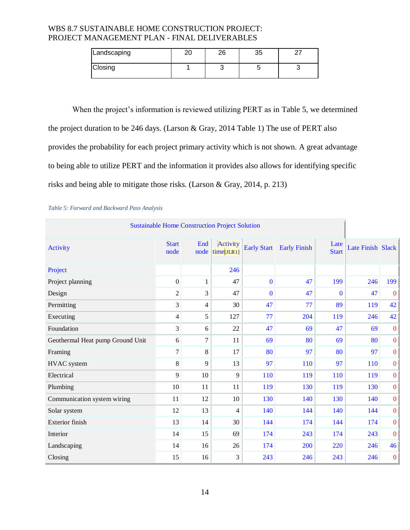| Landscaping | ົ | റമ |  |
|-------------|---|----|--|
| Closing     |   |    |  |

When the project's information is reviewed utilizing PERT as in [Table 5,](#page-13-0) we determined the project duration to be 246 days. (Larson & Gray, 2014 Table 1) The use of PERT also provides the probability for each project primary activity which is not shown. A great advantage to being able to utilize PERT and the information it provides also allows for identifying specific risks and being able to mitigate those risks. (Larson & Gray, 2014, p. 213)

| <b>Sustainable Home Construction Project Solution</b> |                      |              |                        |                    |                     |                      |                   |              |
|-------------------------------------------------------|----------------------|--------------|------------------------|--------------------|---------------------|----------------------|-------------------|--------------|
| Activity                                              | <b>Start</b><br>node | End<br>node  | Activity<br>time[JLR1] | <b>Early Start</b> | <b>Early Finish</b> | Late<br><b>Start</b> | Late Finish Slack |              |
| Project                                               |                      |              | 246                    |                    |                     |                      |                   |              |
| Project planning                                      | $\boldsymbol{0}$     | $\mathbf{1}$ | 47                     | $\mathbf{0}$       | 47                  | 199                  | 246               | 199          |
| Design                                                | 2                    | 3            | 47                     | $\Omega$           | 47                  | $\mathbf{0}$         | 47                | $\mathbf{0}$ |
| Permitting                                            | 3                    | 4            | 30                     | 47                 | 77                  | 89                   | 119               | 42           |
| Executing                                             | 4                    | 5            | 127                    | 77                 | 204                 | 119                  | 246               | 42           |
| Foundation                                            | 3                    | 6            | 22                     | 47                 | 69                  | 47                   | 69                | $\bf{0}$     |
| Geothermal Heat pump Ground Unit                      | 6                    | 7            | 11                     | 69                 | 80                  | 69                   | 80                | $\bf{0}$     |
| Framing                                               | 7                    | 8            | 17                     | 80                 | 97                  | 80                   | 97                | $\bf{0}$     |
| <b>HVAC</b> system                                    | 8                    | 9            | 13                     | 97                 | 110                 | 97                   | 110               | $\bf{0}$     |
| Electrical                                            | 9                    | 10           | 9                      | 110                | 119                 | <b>110</b>           | 119               | $\bf{0}$     |
| Plumbing                                              | 10                   | 11           | 11                     | 119                | 130                 | 119                  | 130               | $\bf{0}$     |
| Communication system wiring                           | 11                   | 12           | 10                     | 130                | 140                 | 130                  | 140               | $\bf{0}$     |
| Solar system                                          | 12                   | 13           | 4                      | 140                | 144                 | 140                  | 144               | $\bf{0}$     |
| Exterior finish                                       | 13                   | 14           | 30                     | 144                | 174                 | 144                  | 174               | $\bf{0}$     |
| Interior                                              | 14                   | 15           | 69                     | 174                | 243                 | 174                  | 243               | $\bf{0}$     |
| Landscaping                                           | 14                   | 16           | 26                     | 174                | 200                 | 220                  | 246               | 46           |
| Closing                                               | 15                   | 16           | 3                      | 243                | 246                 | 243                  | 246               | $\bf{0}$     |

#### <span id="page-13-0"></span>*Table 5: Forward and Backward Pass Analysis*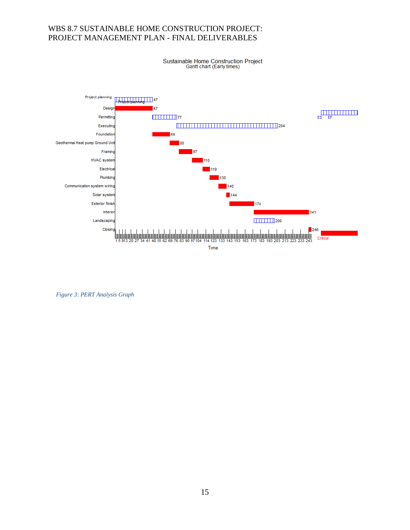Sustainable Home Construction Project<br>Gantt chart (Early times)



*Figure 3: PERT Analysis Graph*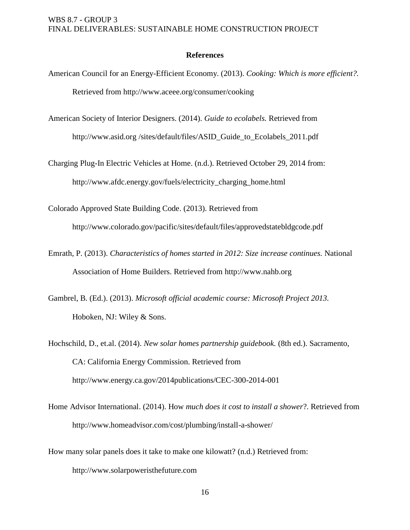### **References**

- American Council for an Energy-Efficient Economy. (2013). *Cooking: Which is more efficient?.* Retrieved from http://www.aceee.org/consumer/cooking
- American Society of Interior Designers. (2014). *Guide to ecolabels.* Retrieved from http://www.asid.org/sites/default/files/ASID Guide to Ecolabels 2011.pdf

Charging Plug-In Electric Vehicles at Home. (n.d.). Retrieved October 29, 2014 from: http://www.afdc.energy.gov/fuels/electricity\_charging\_home.html

Colorado Approved State Building Code. (2013). Retrieved from http:/[/www.colorado.gov/pacific/sites/default/files/approvedstatebldgcode.pdf](https://www.colorado.gov/pacific/sites/default/files/approvedstatebldgcode.pdf)

- Emrath, P. (2013). *Characteristics of homes started in 2012: Size increase continues.* National Association of Home Builders. Retrieved from http://www.nahb.org
- Gambrel, B. (Ed.). (2013). *Microsoft official academic course: Microsoft Project 2013.* Hoboken, NJ: Wiley & Sons.
- Hochschild, D., et.al. (2014). *New solar homes partnership guidebook.* (8th ed.). Sacramento, CA: California Energy Commission. Retrieved from http://www.energy.ca.gov/2014publications/CEC-300-2014-001
- Home Advisor International. (2014). How *much does it cost to install a shower*?. Retrieved from http://www.homeadvisor.com/cost/plumbing/install-a-shower/
- How many solar panels does it take to make one kilowatt? (n.d.) Retrieved from: http://www.solarpoweristhefuture.com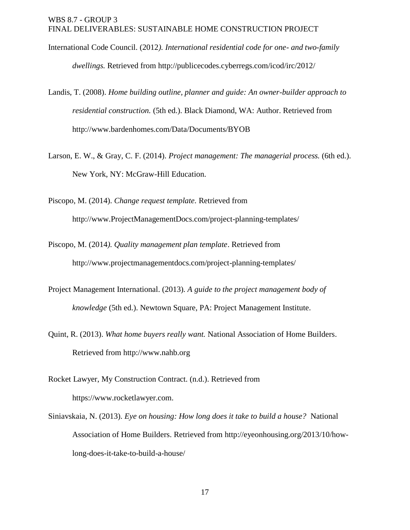- International Code Council. (2012*). International residential code for one- and two-family dwellings.* Retrieved from http:/[/publicecodes.cyberregs.com/icod/irc/2012/](http://publicecodes.cyberregs.com/icod/irc/2012/)
- Landis, T. (2008). *Home building outline, planner and guide: An owner-builder approach to residential construction.* (5th ed.). Black Diamond, WA: Author. Retrieved from http://www.bardenhomes.com/Data/Documents/BYOB
- Larson, E. W., & Gray, C. F. (2014). *Project management: The managerial process.* (6th ed.). New York, NY: McGraw-Hill Education.

Piscopo, M. (2014). *Change request template.* Retrieved from http://www.ProjectManagementDocs.com/project-planning-templates/

- Piscopo, M. (2014*). Quality management plan template*. Retrieved from http:/[/www.projectmanagementdocs.com/project-planning-templates/](http://www.projectmanagementdocs.com/project-planning-templates/quality-management-plan.html)
- Project Management International. (2013). *A guide to the project management body of knowledge* (5th ed.). Newtown Square, PA: Project Management Institute.
- Quint, R. (2013). *What home buyers really want.* National Association of Home Builders. Retrieved from http://www.nahb.org
- Rocket Lawyer, My Construction Contract. (n.d.). Retrieved from https://www.rocketlawyer.com.
- Siniavskaia, N. (2013). *Eye on housing: How long does it take to build a house?* National Association of Home Builders. Retrieved from http://eyeonhousing.org/2013/10/howlong-does-it-take-to-build-a-house/